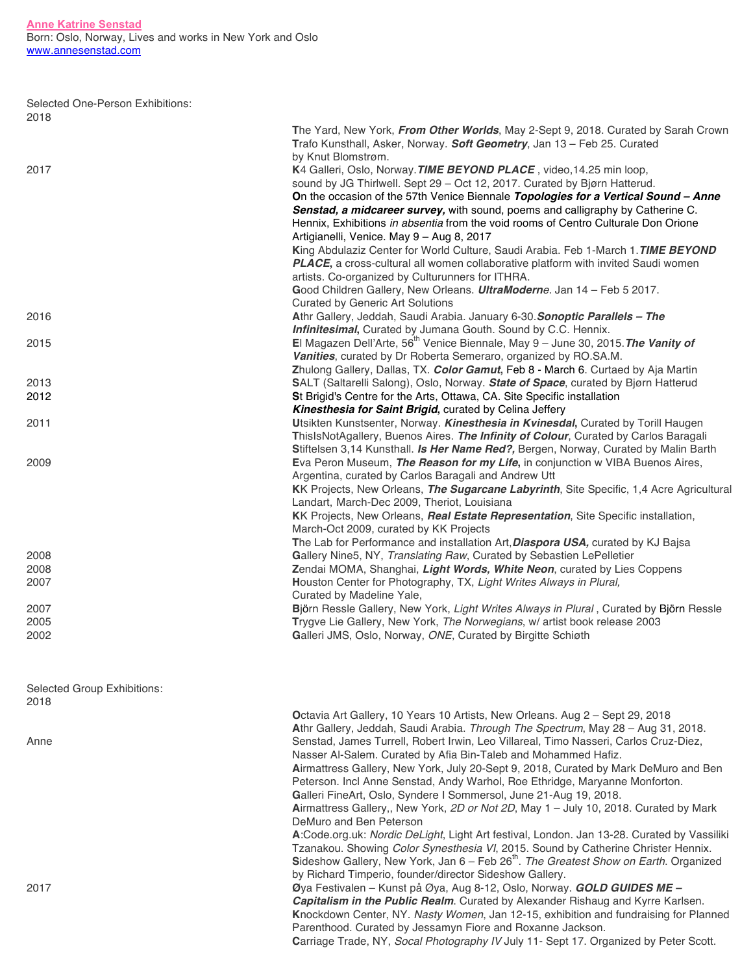| Selected One-Person Exhibitions: |  |
|----------------------------------|--|
| 2018                             |  |

|                             | The Yard, New York, From Other Worlds, May 2-Sept 9, 2018. Curated by Sarah Crown<br>Trafo Kunsthall, Asker, Norway. Soft Geometry, Jan 13 - Feb 25. Curated                                                                                                                                                                                                                                                                                                                                                         |
|-----------------------------|----------------------------------------------------------------------------------------------------------------------------------------------------------------------------------------------------------------------------------------------------------------------------------------------------------------------------------------------------------------------------------------------------------------------------------------------------------------------------------------------------------------------|
| 2017                        | by Knut Blomstrøm.<br>K4 Galleri, Oslo, Norway. TIME BEYOND PLACE, video, 14.25 min loop,                                                                                                                                                                                                                                                                                                                                                                                                                            |
|                             | sound by JG Thirlwell. Sept 29 - Oct 12, 2017. Curated by Bjørn Hatterud.<br>On the occasion of the 57th Venice Biennale Topologies for a Vertical Sound - Anne<br>Senstad, a midcareer survey, with sound, poems and calligraphy by Catherine C.<br>Hennix, Exhibitions in absentia from the void rooms of Centro Culturale Don Orione                                                                                                                                                                              |
|                             | Artigianelli, Venice. May 9 - Aug 8, 2017<br>King Abdulaziz Center for World Culture, Saudi Arabia. Feb 1-March 1. TIME BEYOND<br>PLACE, a cross-cultural all women collaborative platform with invited Saudi women                                                                                                                                                                                                                                                                                                  |
|                             | artists. Co-organized by Culturunners for ITHRA.<br>Good Children Gallery, New Orleans. UltraModerne. Jan 14 - Feb 5 2017.                                                                                                                                                                                                                                                                                                                                                                                           |
| 2016                        | <b>Curated by Generic Art Solutions</b><br>Athr Gallery, Jeddah, Saudi Arabia. January 6-30. Sonoptic Parallels - The<br>Infinitesimal, Curated by Jumana Gouth. Sound by C.C. Hennix.                                                                                                                                                                                                                                                                                                                               |
| 2015                        | El Magazen Dell'Arte, 56 <sup>th</sup> Venice Biennale, May 9 - June 30, 2015. The Vanity of<br>Vanities, curated by Dr Roberta Semeraro, organized by RO.SA.M.                                                                                                                                                                                                                                                                                                                                                      |
|                             | Zhulong Gallery, Dallas, TX. Color Gamut, Feb 8 - March 6. Curtaed by Aja Martin                                                                                                                                                                                                                                                                                                                                                                                                                                     |
| 2013<br>2012                | SALT (Saltarelli Salong), Oslo, Norway. State of Space, curated by Bjørn Hatterud<br>St Brigid's Centre for the Arts, Ottawa, CA. Site Specific installation                                                                                                                                                                                                                                                                                                                                                         |
| 2011                        | Kinesthesia for Saint Brigid, curated by Celina Jeffery<br>Utsikten Kunstsenter, Norway. Kinesthesia in Kvinesdal, Curated by Torill Haugen<br>ThislsNotAgallery, Buenos Aires. The Infinity of Colour, Curated by Carlos Baragali<br>Stiftelsen 3,14 Kunsthall. Is Her Name Red?, Bergen, Norway, Curated by Malin Barth                                                                                                                                                                                            |
| 2009                        | Eva Peron Museum, The Reason for my Life, in conjunction w VIBA Buenos Aires,<br>Argentina, curated by Carlos Baragali and Andrew Utt<br>KK Projects, New Orleans, The Sugarcane Labyrinth, Site Specific, 1,4 Acre Agricultural<br>Landart, March-Dec 2009, Theriot, Louisiana                                                                                                                                                                                                                                      |
|                             | KK Projects, New Orleans, Real Estate Representation, Site Specific installation,<br>March-Oct 2009, curated by KK Projects                                                                                                                                                                                                                                                                                                                                                                                          |
| 2008                        | The Lab for Performance and installation Art, Diaspora USA, curated by KJ Bajsa<br>Gallery Nine5, NY, Translating Raw, Curated by Sebastien LePelletier                                                                                                                                                                                                                                                                                                                                                              |
| 2008                        | Zendai MOMA, Shanghai, Light Words, White Neon, curated by Lies Coppens                                                                                                                                                                                                                                                                                                                                                                                                                                              |
| 2007                        | Houston Center for Photography, TX, Light Writes Always in Plural,<br>Curated by Madeline Yale,                                                                                                                                                                                                                                                                                                                                                                                                                      |
| 2007                        | Björn Ressle Gallery, New York, Light Writes Always in Plural, Curated by Björn Ressle                                                                                                                                                                                                                                                                                                                                                                                                                               |
| 2005<br>2002                | Trygve Lie Gallery, New York, The Norwegians, w/ artist book release 2003<br>Galleri JMS, Oslo, Norway, ONE, Curated by Birgitte Schiøth                                                                                                                                                                                                                                                                                                                                                                             |
| Selected Group Exhibitions: |                                                                                                                                                                                                                                                                                                                                                                                                                                                                                                                      |
| 2018                        |                                                                                                                                                                                                                                                                                                                                                                                                                                                                                                                      |
|                             | Octavia Art Gallery, 10 Years 10 Artists, New Orleans. Aug 2 - Sept 29, 2018<br>Athr Gallery, Jeddah, Saudi Arabia. Through The Spectrum, May 28 - Aug 31, 2018.                                                                                                                                                                                                                                                                                                                                                     |
| Anne                        | Senstad, James Turrell, Robert Irwin, Leo Villareal, Timo Nasseri, Carlos Cruz-Diez,<br>Nasser Al-Salem. Curated by Afia Bin-Taleb and Mohammed Hafiz.<br>Airmattress Gallery, New York, July 20-Sept 9, 2018, Curated by Mark DeMuro and Ben<br>Peterson. Incl Anne Senstad, Andy Warhol, Roe Ethridge, Maryanne Monforton.<br>Galleri FineArt, Oslo, Syndere I Sommersol, June 21-Aug 19, 2018.<br>Airmattress Gallery,, New York, 2D or Not 2D, May 1 - July 10, 2018. Curated by Mark<br>DeMuro and Ben Peterson |
|                             | A:Code.org.uk: Nordic DeLight, Light Art festival, London. Jan 13-28. Curated by Vassiliki<br>Tzanakou. Showing Color Synesthesia VI, 2015. Sound by Catherine Christer Hennix.<br>Sideshow Gallery, New York, Jan 6 - Feb 26 <sup>th</sup> . The Greatest Show on Earth. Organized<br>by Richard Timperio, founder/director Sideshow Gallery.                                                                                                                                                                       |
| 2017                        | Øya Festivalen - Kunst på Øya, Aug 8-12, Oslo, Norway. GOLD GUIDES ME -<br>Capitalism in the Public Realm. Curated by Alexander Rishaug and Kyrre Karlsen.<br>Knockdown Center, NY. Nasty Women, Jan 12-15, exhibition and fundraising for Planned<br>Parenthood. Curated by Jessamyn Fiore and Roxanne Jackson.<br>Carriage Trade, NY, Socal Photography IV July 11- Sept 17. Organized by Peter Scott.                                                                                                             |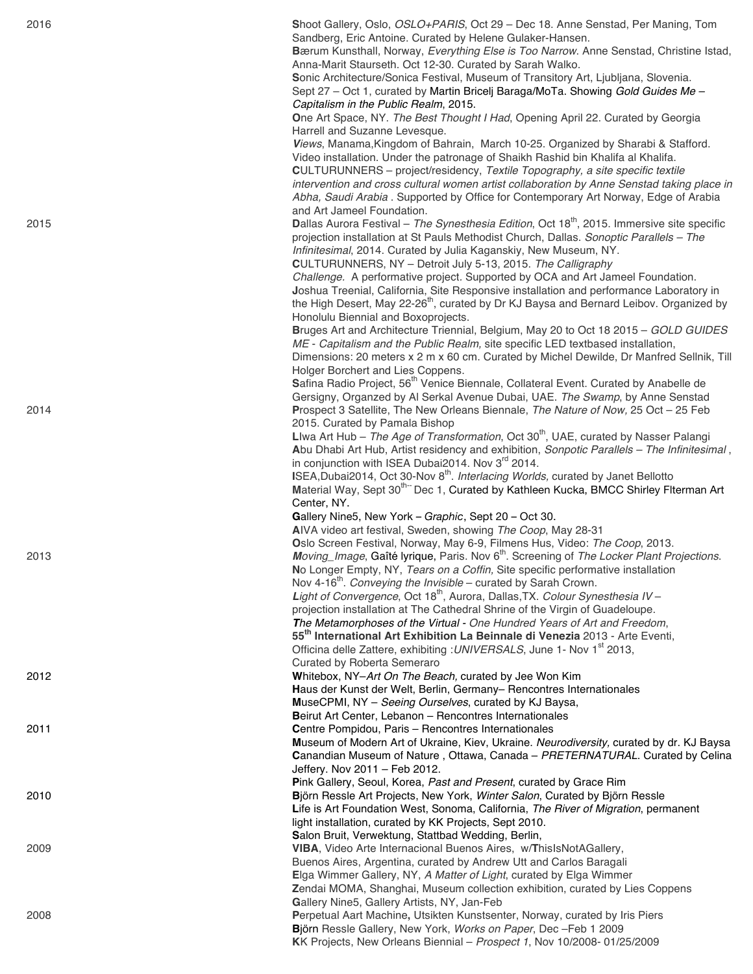| 2016 | Shoot Gallery, Oslo, OSLO+PARIS, Oct 29 - Dec 18. Anne Senstad, Per Maning, Tom<br>Sandberg, Eric Antoine. Curated by Helene Gulaker-Hansen.                           |
|------|------------------------------------------------------------------------------------------------------------------------------------------------------------------------|
|      | Bærum Kunsthall, Norway, Everything Else is Too Narrow. Anne Senstad, Christine Istad,                                                                                 |
|      | Anna-Marit Staurseth. Oct 12-30. Curated by Sarah Walko.                                                                                                               |
|      | Sonic Architecture/Sonica Festival, Museum of Transitory Art, Ljubljana, Slovenia.                                                                                     |
|      | Sept 27 - Oct 1, curated by Martin Bricelj Baraga/MoTa. Showing Gold Guides Me -                                                                                       |
|      | Capitalism in the Public Realm, 2015.                                                                                                                                  |
|      | One Art Space, NY. The Best Thought I Had, Opening April 22. Curated by Georgia                                                                                        |
|      | Harrell and Suzanne Levesque.<br>Views, Manama, Kingdom of Bahrain, March 10-25. Organized by Sharabi & Stafford.                                                      |
|      | Video installation. Under the patronage of Shaikh Rashid bin Khalifa al Khalifa.                                                                                       |
|      | <b>CULTURUNNERS</b> - project/residency, Textile Topography, a site specific textile                                                                                   |
|      | intervention and cross cultural women artist collaboration by Anne Senstad taking place in                                                                             |
|      | Abha, Saudi Arabia . Supported by Office for Contemporary Art Norway, Edge of Arabia                                                                                   |
| 2015 | and Art Jameel Foundation.<br>Dallas Aurora Festival - The Synesthesia Edition, Oct 18 <sup>th</sup> , 2015. Immersive site specific                                   |
|      | projection installation at St Pauls Methodist Church, Dallas. Sonoptic Parallels - The                                                                                 |
|      | Infinitesimal, 2014. Curated by Julia Kaganskiy, New Museum, NY.                                                                                                       |
|      | CULTURUNNERS, NY - Detroit July 5-13, 2015. The Calligraphy                                                                                                            |
|      | Challenge. A performative project. Supported by OCA and Art Jameel Foundation.                                                                                         |
|      | Joshua Treenial, California, Site Responsive installation and performance Laboratory in                                                                                |
|      | the High Desert, May 22-26 <sup>th</sup> , curated by Dr KJ Baysa and Bernard Leibov. Organized by<br>Honolulu Biennial and Boxoprojects.                              |
|      | Bruges Art and Architecture Triennial, Belgium, May 20 to Oct 18 2015 - GOLD GUIDES                                                                                    |
|      | ME - Capitalism and the Public Realm, site specific LED textbased installation,                                                                                        |
|      | Dimensions: 20 meters x 2 m x 60 cm. Curated by Michel Dewilde, Dr Manfred Sellnik, Till                                                                               |
|      | Holger Borchert and Lies Coppens.                                                                                                                                      |
|      | Safina Radio Project, 56 <sup>th</sup> Venice Biennale, Collateral Event. Curated by Anabelle de                                                                       |
| 2014 | Gersigny, Organzed by Al Serkal Avenue Dubai, UAE. The Swamp, by Anne Senstad<br>Prospect 3 Satellite, The New Orleans Biennale, The Nature of Now, 25 Oct - 25 Feb    |
|      | 2015. Curated by Pamala Bishop                                                                                                                                         |
|      | Llwa Art Hub - The Age of Transformation, Oct $30th$ , UAE, curated by Nasser Palangi                                                                                  |
|      | Abu Dhabi Art Hub, Artist residency and exhibition, Sonpotic Parallels - The Infinitesimal,                                                                            |
|      | in conjunction with ISEA Dubai2014. Nov 3 <sup>rd</sup> 2014.                                                                                                          |
|      | ISEA, Dubai2014, Oct 30-Nov 8 <sup>th</sup> . Interlacing Worlds, curated by Janet Bellotto                                                                            |
|      | Material Way, Sept 30 <sup>th--</sup> Dec 1, Curated by Kathleen Kucka, BMCC Shirley Flterman Art<br>Center, NY.                                                       |
|      | Gallery Nine5, New York - Graphic, Sept 20 - Oct 30.                                                                                                                   |
|      | AIVA video art festival, Sweden, showing The Coop, May 28-31                                                                                                           |
|      | Oslo Screen Festival, Norway, May 6-9, Filmens Hus, Video: The Coop, 2013.                                                                                             |
| 2013 | Moving_Image, Gaîté lyrique, Paris. Nov 6 <sup>th</sup> . Screening of The Locker Plant Projections.                                                                   |
|      | No Longer Empty, NY, Tears on a Coffin, Site specific performative installation                                                                                        |
|      | Nov 4-16 <sup>th</sup> . Conveying the Invisible – curated by Sarah Crown.<br>Light of Convergence, Oct 18 <sup>th</sup> , Aurora, Dallas, TX. Colour Synesthesia IV - |
|      | projection installation at The Cathedral Shrine of the Virgin of Guadeloupe.                                                                                           |
|      | The Metamorphoses of the Virtual - One Hundred Years of Art and Freedom,                                                                                               |
|      | 55 <sup>th</sup> International Art Exhibition La Beinnale di Venezia 2013 - Arte Eventi,                                                                               |
|      | Officina delle Zattere, exhibiting : UNIVERSALS, June 1- Nov 1 <sup>st</sup> 2013,                                                                                     |
| 2012 | Curated by Roberta Semeraro<br>Whitebox, NY-Art On The Beach, curated by Jee Won Kim                                                                                   |
|      | Haus der Kunst der Welt, Berlin, Germany- Rencontres Internationales                                                                                                   |
|      | MuseCPMI, NY - Seeing Ourselves, curated by KJ Baysa,                                                                                                                  |
|      | Beirut Art Center, Lebanon - Rencontres Internationales                                                                                                                |
| 2011 | Centre Pompidou, Paris - Rencontres Internationales                                                                                                                    |
|      | Museum of Modern Art of Ukraine, Kiev, Ukraine. Neurodiversity, curated by dr. KJ Baysa                                                                                |
|      | Canandian Museum of Nature, Ottawa, Canada - PRETERNATURAL. Curated by Celina<br>Jeffery. Nov 2011 - Feb 2012.                                                         |
|      | Pink Gallery, Seoul, Korea, Past and Present, curated by Grace Rim                                                                                                     |
| 2010 | Björn Ressle Art Projects, New York, Winter Salon, Curated by Björn Ressle                                                                                             |
|      | Life is Art Foundation West, Sonoma, California, The River of Migration, permanent                                                                                     |
|      | light installation, curated by KK Projects, Sept 2010.                                                                                                                 |
|      | Salon Bruit, Verwektung, Stattbad Wedding, Berlin,                                                                                                                     |
| 2009 | VIBA, Video Arte Internacional Buenos Aires, w/ThislsNotAGallery,<br>Buenos Aires, Argentina, curated by Andrew Utt and Carlos Baragali                                |
|      | Elga Wimmer Gallery, NY, A Matter of Light, curated by Elga Wimmer                                                                                                     |
|      | Zendai MOMA, Shanghai, Museum collection exhibition, curated by Lies Coppens                                                                                           |
|      | Gallery Nine5, Gallery Artists, NY, Jan-Feb                                                                                                                            |
| 2008 | Perpetual Aart Machine, Utsikten Kunstsenter, Norway, curated by Iris Piers                                                                                            |
|      | Björn Ressle Gallery, New York, Works on Paper, Dec-Feb 1 2009                                                                                                         |

**K**K Projects, New Orleans Biennial – *Prospect 1*, Nov 10/2008 - 01/25/2009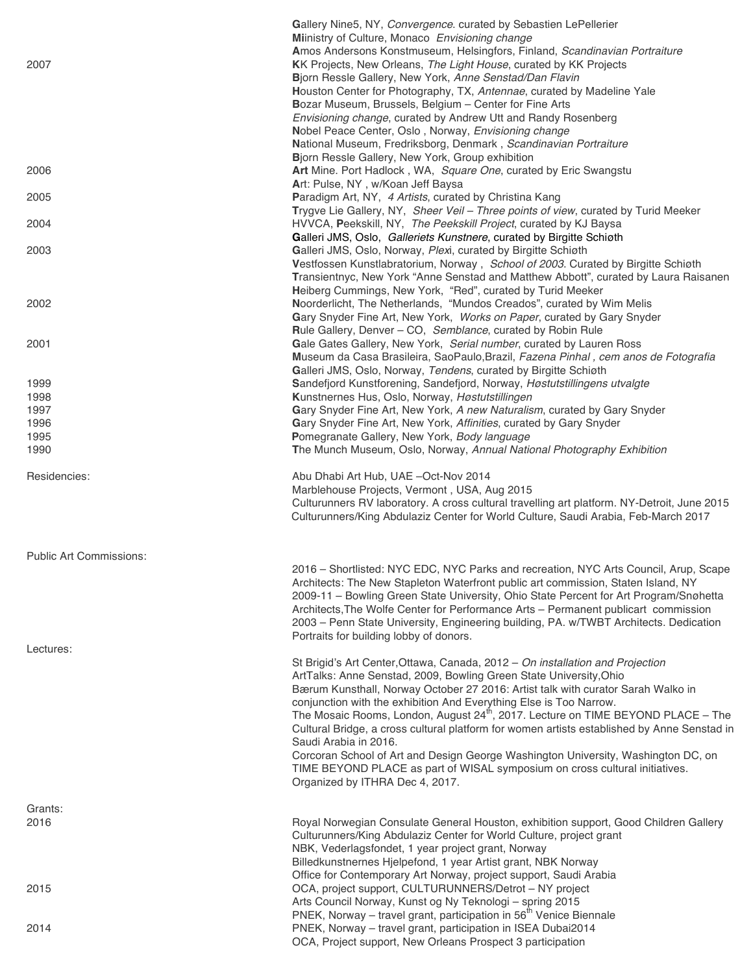| 2007                                        | Gallery Nine5, NY, Convergence. curated by Sebastien LePellerier<br>Miinistry of Culture, Monaco Envisioning change<br>Amos Andersons Konstmuseum, Helsingfors, Finland, Scandinavian Portraiture<br>KK Projects, New Orleans, The Light House, curated by KK Projects<br>Bjorn Ressle Gallery, New York, Anne Senstad/Dan Flavin<br>Houston Center for Photography, TX, Antennae, curated by Madeline Yale<br>Bozar Museum, Brussels, Belgium - Center for Fine Arts<br>Envisioning change, curated by Andrew Utt and Randy Rosenberg<br>Nobel Peace Center, Oslo, Norway, Envisioning change<br>National Museum, Fredriksborg, Denmark, Scandinavian Portraiture |
|---------------------------------------------|--------------------------------------------------------------------------------------------------------------------------------------------------------------------------------------------------------------------------------------------------------------------------------------------------------------------------------------------------------------------------------------------------------------------------------------------------------------------------------------------------------------------------------------------------------------------------------------------------------------------------------------------------------------------|
| 2006                                        | Bjorn Ressle Gallery, New York, Group exhibition<br>Art Mine. Port Hadlock, WA, Square One, curated by Eric Swangstu                                                                                                                                                                                                                                                                                                                                                                                                                                                                                                                                               |
| 2005                                        | Art: Pulse, NY, w/Koan Jeff Baysa<br>Paradigm Art, NY, 4 Artists, curated by Christina Kang                                                                                                                                                                                                                                                                                                                                                                                                                                                                                                                                                                        |
| 2004                                        | Trygve Lie Gallery, NY, Sheer Veil - Three points of view, curated by Turid Meeker<br>HVVCA, Peekskill, NY, The Peekskill Project, curated by KJ Baysa                                                                                                                                                                                                                                                                                                                                                                                                                                                                                                             |
| 2003                                        | Galleri JMS, Oslo, Galleriets Kunstnere, curated by Birgitte Schiøth<br>Galleri JMS, Oslo, Norway, Plexi, curated by Birgitte Schiøth<br>Vestfossen Kunstlabratorium, Norway, School of 2003. Curated by Birgitte Schiøth<br>Transientnyc, New York "Anne Senstad and Matthew Abbott", curated by Laura Raisanen                                                                                                                                                                                                                                                                                                                                                   |
| 2002                                        | Heiberg Cummings, New York, "Red", curated by Turid Meeker<br>Noorderlicht, The Netherlands, "Mundos Creados", curated by Wim Melis<br>Gary Snyder Fine Art, New York, Works on Paper, curated by Gary Snyder<br>Rule Gallery, Denver - CO, Semblance, curated by Robin Rule                                                                                                                                                                                                                                                                                                                                                                                       |
| 2001                                        | Gale Gates Gallery, New York, Serial number, curated by Lauren Ross<br>Museum da Casa Brasileira, SaoPaulo, Brazil, Fazena Pinhal, cem anos de Fotografia<br>Galleri JMS, Oslo, Norway, Tendens, curated by Birgitte Schiøth                                                                                                                                                                                                                                                                                                                                                                                                                                       |
| 1999                                        | Sandefjord Kunstforening, Sandefjord, Norway, Høstutstillingens utvalgte                                                                                                                                                                                                                                                                                                                                                                                                                                                                                                                                                                                           |
| 1998                                        | Kunstnernes Hus, Oslo, Norway, Høstutstillingen                                                                                                                                                                                                                                                                                                                                                                                                                                                                                                                                                                                                                    |
| 1997<br>1996                                | Gary Snyder Fine Art, New York, A new Naturalism, curated by Gary Snyder<br>Gary Snyder Fine Art, New York, Affinities, curated by Gary Snyder                                                                                                                                                                                                                                                                                                                                                                                                                                                                                                                     |
| 1995                                        | Pomegranate Gallery, New York, Body language                                                                                                                                                                                                                                                                                                                                                                                                                                                                                                                                                                                                                       |
| 1990                                        | The Munch Museum, Oslo, Norway, Annual National Photography Exhibition                                                                                                                                                                                                                                                                                                                                                                                                                                                                                                                                                                                             |
| Residencies:                                | Abu Dhabi Art Hub, UAE -Oct-Nov 2014<br>Marblehouse Projects, Vermont, USA, Aug 2015<br>Culturunners RV laboratory. A cross cultural travelling art platform. NY-Detroit, June 2015<br>Culturunners/King Abdulaziz Center for World Culture, Saudi Arabia, Feb-March 2017                                                                                                                                                                                                                                                                                                                                                                                          |
| <b>Public Art Commissions:</b><br>Lectures: | 2016 - Shortlisted: NYC EDC, NYC Parks and recreation, NYC Arts Council, Arup, Scape<br>Architects: The New Stapleton Waterfront public art commission, Staten Island, NY<br>2009-11 - Bowling Green State University, Ohio State Percent for Art Program/Snøhetta<br>Architects, The Wolfe Center for Performance Arts - Permanent publicart commission<br>2003 - Penn State University, Engineering building, PA. w/TWBT Architects. Dedication<br>Portraits for building lobby of donors.                                                                                                                                                                       |
|                                             | St Brigid's Art Center, Ottawa, Canada, 2012 - On installation and Projection                                                                                                                                                                                                                                                                                                                                                                                                                                                                                                                                                                                      |
|                                             | ArtTalks: Anne Senstad, 2009, Bowling Green State University, Ohio<br>Bærum Kunsthall, Norway October 27 2016: Artist talk with curator Sarah Walko in<br>conjunction with the exhibition And Everything Else is Too Narrow.<br>The Mosaic Rooms, London, August 24 <sup>th</sup> , 2017. Lecture on TIME BEYOND PLACE - The<br>Cultural Bridge, a cross cultural platform for women artists established by Anne Senstad in<br>Saudi Arabia in 2016.<br>Corcoran School of Art and Design George Washington University, Washington DC, on<br>TIME BEYOND PLACE as part of WISAL symposium on cross cultural initiatives.<br>Organized by ITHRA Dec 4, 2017.        |
| Grants:                                     |                                                                                                                                                                                                                                                                                                                                                                                                                                                                                                                                                                                                                                                                    |
| 2016                                        | Royal Norwegian Consulate General Houston, exhibition support, Good Children Gallery<br>Culturunners/King Abdulaziz Center for World Culture, project grant<br>NBK, Vederlagsfondet, 1 year project grant, Norway<br>Billedkunstnernes Hjelpefond, 1 year Artist grant, NBK Norway<br>Office for Contemporary Art Norway, project support, Saudi Arabia                                                                                                                                                                                                                                                                                                            |
| 2015                                        | OCA, project support, CULTURUNNERS/Detrot - NY project<br>Arts Council Norway, Kunst og Ny Teknologi - spring 2015                                                                                                                                                                                                                                                                                                                                                                                                                                                                                                                                                 |
| 2014                                        | PNEK, Norway - travel grant, participation in 56 <sup>th</sup> Venice Biennale<br>PNEK, Norway - travel grant, participation in ISEA Dubai2014<br>OCA, Project support, New Orleans Prospect 3 participation                                                                                                                                                                                                                                                                                                                                                                                                                                                       |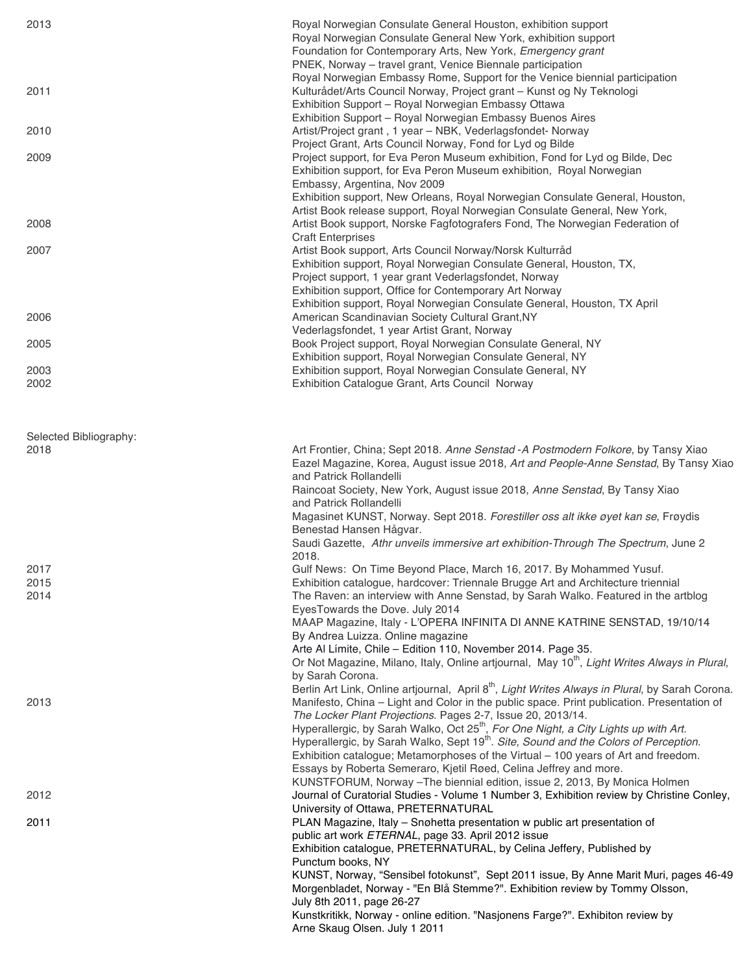| 2013                   | Royal Norwegian Consulate General Houston, exhibition support<br>Royal Norwegian Consulate General New York, exhibition support<br>Foundation for Contemporary Arts, New York, Emergency grant<br>PNEK, Norway - travel grant, Venice Biennale participation<br>Royal Norwegian Embassy Rome, Support for the Venice biennial participation                                                                                                                                                                                                                                                                                                |
|------------------------|--------------------------------------------------------------------------------------------------------------------------------------------------------------------------------------------------------------------------------------------------------------------------------------------------------------------------------------------------------------------------------------------------------------------------------------------------------------------------------------------------------------------------------------------------------------------------------------------------------------------------------------------|
| 2011                   | Kulturådet/Arts Council Norway, Project grant - Kunst og Ny Teknologi<br>Exhibition Support - Royal Norwegian Embassy Ottawa<br>Exhibition Support - Royal Norwegian Embassy Buenos Aires                                                                                                                                                                                                                                                                                                                                                                                                                                                  |
| 2010                   | Artist/Project grant, 1 year - NBK, Vederlagsfondet- Norway<br>Project Grant, Arts Council Norway, Fond for Lyd og Bilde                                                                                                                                                                                                                                                                                                                                                                                                                                                                                                                   |
| 2009                   | Project support, for Eva Peron Museum exhibition, Fond for Lyd og Bilde, Dec<br>Exhibition support, for Eva Peron Museum exhibition, Royal Norwegian<br>Embassy, Argentina, Nov 2009<br>Exhibition support, New Orleans, Royal Norwegian Consulate General, Houston,                                                                                                                                                                                                                                                                                                                                                                       |
| 2008                   | Artist Book release support, Royal Norwegian Consulate General, New York,<br>Artist Book support, Norske Fagfotografers Fond, The Norwegian Federation of<br><b>Craft Enterprises</b>                                                                                                                                                                                                                                                                                                                                                                                                                                                      |
| 2007                   | Artist Book support, Arts Council Norway/Norsk Kulturråd<br>Exhibition support, Royal Norwegian Consulate General, Houston, TX,<br>Project support, 1 year grant Vederlagsfondet, Norway<br>Exhibition support, Office for Contemporary Art Norway<br>Exhibition support, Royal Norwegian Consulate General, Houston, TX April                                                                                                                                                                                                                                                                                                             |
| 2006                   | American Scandinavian Society Cultural Grant, NY<br>Vederlagsfondet, 1 year Artist Grant, Norway                                                                                                                                                                                                                                                                                                                                                                                                                                                                                                                                           |
| 2005                   | Book Project support, Royal Norwegian Consulate General, NY<br>Exhibition support, Royal Norwegian Consulate General, NY                                                                                                                                                                                                                                                                                                                                                                                                                                                                                                                   |
| 2003<br>2002           | Exhibition support, Royal Norwegian Consulate General, NY<br>Exhibition Catalogue Grant, Arts Council Norway                                                                                                                                                                                                                                                                                                                                                                                                                                                                                                                               |
| Selected Bibliography: |                                                                                                                                                                                                                                                                                                                                                                                                                                                                                                                                                                                                                                            |
| 2018                   | Art Frontier, China; Sept 2018. Anne Senstad - A Postmodern Folkore, by Tansy Xiao<br>Eazel Magazine, Korea, August issue 2018, Art and People-Anne Senstad, By Tansy Xiao<br>and Patrick Rollandelli<br>Raincoat Society, New York, August issue 2018, Anne Senstad, By Tansy Xiao<br>and Patrick Rollandelli<br>Magasinet KUNST, Norway. Sept 2018. Forestiller oss alt ikke øyet kan se, Frøydis<br>Benestad Hansen Hågvar.<br>Saudi Gazette, Athr unveils immersive art exhibition-Through The Spectrum, June 2                                                                                                                        |
| 2017                   | 2018.<br>Gulf News: On Time Beyond Place, March 16, 2017. By Mohammed Yusuf.                                                                                                                                                                                                                                                                                                                                                                                                                                                                                                                                                               |
| 2015<br>2014           | Exhibition catalogue, hardcover: Triennale Brugge Art and Architecture triennial<br>The Raven: an interview with Anne Senstad, by Sarah Walko. Featured in the artblog<br>EyesTowards the Dove. July 2014<br>MAAP Magazine, Italy - L'OPERA INFINITA DI ANNE KATRINE SENSTAD, 19/10/14<br>By Andrea Luizza. Online magazine<br>Arte Al Límite, Chile - Edition 110, November 2014. Page 35.<br>Or Not Magazine, Milano, Italy, Online artjournal, May 10 <sup>th</sup> , Light Writes Always in Plural,<br>by Sarah Corona.<br>Berlin Art Link, Online artjournal, April 8 <sup>th</sup> , Light Writes Always in Plural, by Sarah Corona. |
| 2013                   | Manifesto, China - Light and Color in the public space. Print publication. Presentation of<br>The Locker Plant Projections. Pages 2-7, Issue 20, 2013/14.<br>Hyperallergic, by Sarah Walko, Oct 25 <sup>th</sup> , For One Night, a City Lights up with Art.<br>Hyperallergic, by Sarah Walko, Sept 19 <sup>th</sup> . Site, Sound and the Colors of Perception.<br>Exhibition catalogue; Metamorphoses of the Virtual - 100 years of Art and freedom.<br>Essays by Roberta Semeraro, Kjetil Røed, Celina Jeffrey and more.<br>KUNSTFORUM, Norway - The biennial edition, issue 2, 2013, By Monica Holmen                                  |
| 2012                   | Journal of Curatorial Studies - Volume 1 Number 3, Exhibition review by Christine Conley,<br>University of Ottawa, PRETERNATURAL                                                                                                                                                                                                                                                                                                                                                                                                                                                                                                           |
| 2011                   | PLAN Magazine, Italy - Snøhetta presentation w public art presentation of<br>public art work ETERNAL, page 33. April 2012 issue<br>Exhibition catalogue, PRETERNATURAL, by Celina Jeffery, Published by<br>Punctum books, NY<br>KUNST, Norway, "Sensibel fotokunst", Sept 2011 issue, By Anne Marit Muri, pages 46-49<br>Morgenbladet, Norway - "En Blå Stemme?". Exhibition review by Tommy Olsson,                                                                                                                                                                                                                                       |
|                        | July 8th 2011, page 26-27<br>Kunstkritikk, Norway - online edition. "Nasjonens Farge?". Exhibiton review by<br>Arne Skaug Olsen. July 1 2011                                                                                                                                                                                                                                                                                                                                                                                                                                                                                               |